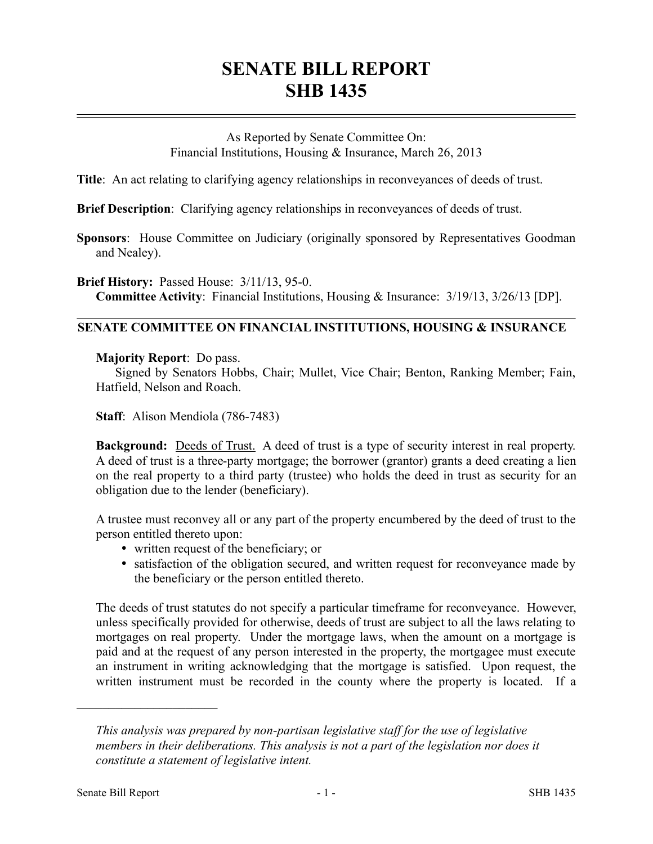# **SENATE BILL REPORT SHB 1435**

As Reported by Senate Committee On: Financial Institutions, Housing & Insurance, March 26, 2013

**Title**: An act relating to clarifying agency relationships in reconveyances of deeds of trust.

**Brief Description**: Clarifying agency relationships in reconveyances of deeds of trust.

**Sponsors**: House Committee on Judiciary (originally sponsored by Representatives Goodman and Nealey).

**Brief History:** Passed House: 3/11/13, 95-0. **Committee Activity**: Financial Institutions, Housing & Insurance: 3/19/13, 3/26/13 [DP].

## **SENATE COMMITTEE ON FINANCIAL INSTITUTIONS, HOUSING & INSURANCE**

#### **Majority Report**: Do pass.

Signed by Senators Hobbs, Chair; Mullet, Vice Chair; Benton, Ranking Member; Fain, Hatfield, Nelson and Roach.

**Staff**: Alison Mendiola (786-7483)

**Background:** Deeds of Trust. A deed of trust is a type of security interest in real property. A deed of trust is a three-party mortgage; the borrower (grantor) grants a deed creating a lien on the real property to a third party (trustee) who holds the deed in trust as security for an obligation due to the lender (beneficiary).

A trustee must reconvey all or any part of the property encumbered by the deed of trust to the person entitled thereto upon:

- written request of the beneficiary; or
- satisfaction of the obligation secured, and written request for reconveyance made by the beneficiary or the person entitled thereto.

The deeds of trust statutes do not specify a particular timeframe for reconveyance. However, unless specifically provided for otherwise, deeds of trust are subject to all the laws relating to mortgages on real property. Under the mortgage laws, when the amount on a mortgage is paid and at the request of any person interested in the property, the mortgagee must execute an instrument in writing acknowledging that the mortgage is satisfied. Upon request, the written instrument must be recorded in the county where the property is located. If a

––––––––––––––––––––––

*This analysis was prepared by non-partisan legislative staff for the use of legislative members in their deliberations. This analysis is not a part of the legislation nor does it constitute a statement of legislative intent.*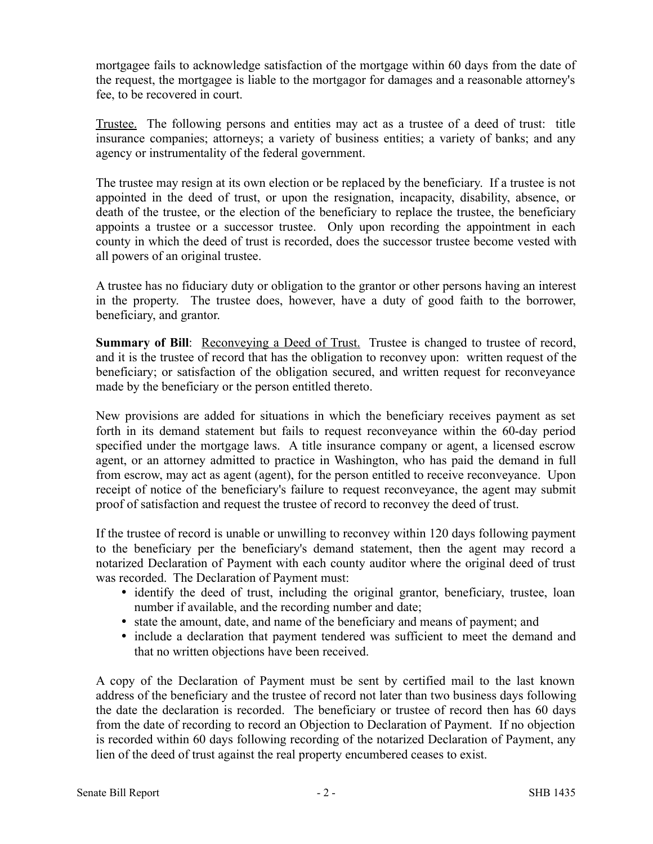mortgagee fails to acknowledge satisfaction of the mortgage within 60 days from the date of the request, the mortgagee is liable to the mortgagor for damages and a reasonable attorney's fee, to be recovered in court.

Trustee. The following persons and entities may act as a trustee of a deed of trust: title insurance companies; attorneys; a variety of business entities; a variety of banks; and any agency or instrumentality of the federal government.

The trustee may resign at its own election or be replaced by the beneficiary. If a trustee is not appointed in the deed of trust, or upon the resignation, incapacity, disability, absence, or death of the trustee, or the election of the beneficiary to replace the trustee, the beneficiary appoints a trustee or a successor trustee. Only upon recording the appointment in each county in which the deed of trust is recorded, does the successor trustee become vested with all powers of an original trustee.

A trustee has no fiduciary duty or obligation to the grantor or other persons having an interest in the property. The trustee does, however, have a duty of good faith to the borrower, beneficiary, and grantor.

**Summary of Bill**: Reconveying a Deed of Trust. Trustee is changed to trustee of record, and it is the trustee of record that has the obligation to reconvey upon: written request of the beneficiary; or satisfaction of the obligation secured, and written request for reconveyance made by the beneficiary or the person entitled thereto.

New provisions are added for situations in which the beneficiary receives payment as set forth in its demand statement but fails to request reconveyance within the 60-day period specified under the mortgage laws. A title insurance company or agent, a licensed escrow agent, or an attorney admitted to practice in Washington, who has paid the demand in full from escrow, may act as agent (agent), for the person entitled to receive reconveyance. Upon receipt of notice of the beneficiary's failure to request reconveyance, the agent may submit proof of satisfaction and request the trustee of record to reconvey the deed of trust.

If the trustee of record is unable or unwilling to reconvey within 120 days following payment to the beneficiary per the beneficiary's demand statement, then the agent may record a notarized Declaration of Payment with each county auditor where the original deed of trust was recorded. The Declaration of Payment must:

- identify the deed of trust, including the original grantor, beneficiary, trustee, loan number if available, and the recording number and date;
- state the amount, date, and name of the beneficiary and means of payment; and
- include a declaration that payment tendered was sufficient to meet the demand and that no written objections have been received.

A copy of the Declaration of Payment must be sent by certified mail to the last known address of the beneficiary and the trustee of record not later than two business days following the date the declaration is recorded. The beneficiary or trustee of record then has 60 days from the date of recording to record an Objection to Declaration of Payment. If no objection is recorded within 60 days following recording of the notarized Declaration of Payment, any lien of the deed of trust against the real property encumbered ceases to exist.